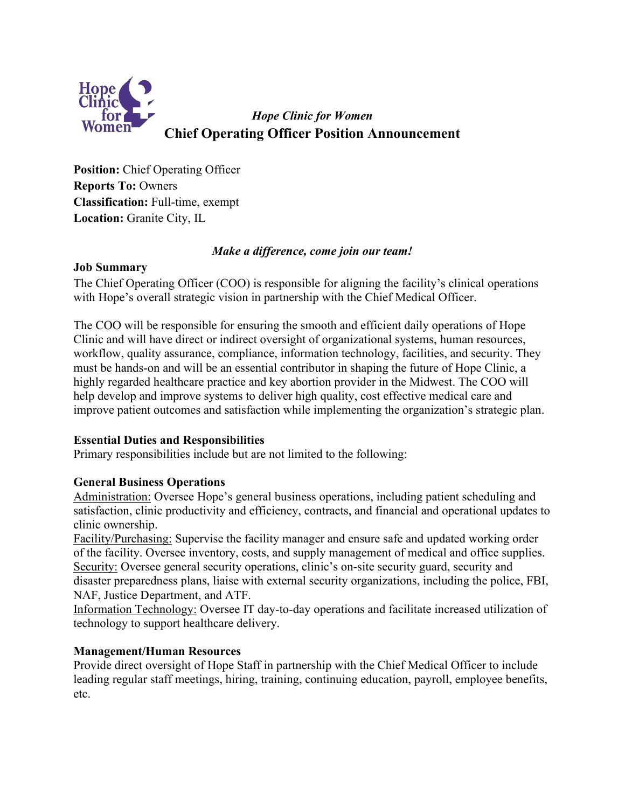

*Hope Clinic for Women* **Chief Operating Officer Position Announcement**

**Position:** Chief Operating Officer **Reports To:** Owners **Classification:** Full-time, exempt **Location:** Granite City, IL

# *Make a difference, come join our team!*

# **Job Summary**

The Chief Operating Officer (COO) is responsible for aligning the facility's clinical operations with Hope's overall strategic vision in partnership with the Chief Medical Officer.

The COO will be responsible for ensuring the smooth and efficient daily operations of Hope Clinic and will have direct or indirect oversight of organizational systems, human resources, workflow, quality assurance, compliance, information technology, facilities, and security. They must be hands-on and will be an essential contributor in shaping the future of Hope Clinic, a highly regarded healthcare practice and key abortion provider in the Midwest. The COO will help develop and improve systems to deliver high quality, cost effective medical care and improve patient outcomes and satisfaction while implementing the organization's strategic plan.

# **Essential Duties and Responsibilities**

Primary responsibilities include but are not limited to the following:

# **General Business Operations**

Administration: Oversee Hope's general business operations, including patient scheduling and satisfaction, clinic productivity and efficiency, contracts, and financial and operational updates to clinic ownership.

Facility/Purchasing: Supervise the facility manager and ensure safe and updated working order of the facility. Oversee inventory, costs, and supply management of medical and office supplies. Security: Oversee general security operations, clinic's on-site security guard, security and disaster preparedness plans, liaise with external security organizations, including the police, FBI, NAF, Justice Department, and ATF.

Information Technology: Oversee IT day-to-day operations and facilitate increased utilization of technology to support healthcare delivery.

# **Management/Human Resources**

Provide direct oversight of Hope Staff in partnership with the Chief Medical Officer to include leading regular staff meetings, hiring, training, continuing education, payroll, employee benefits, etc.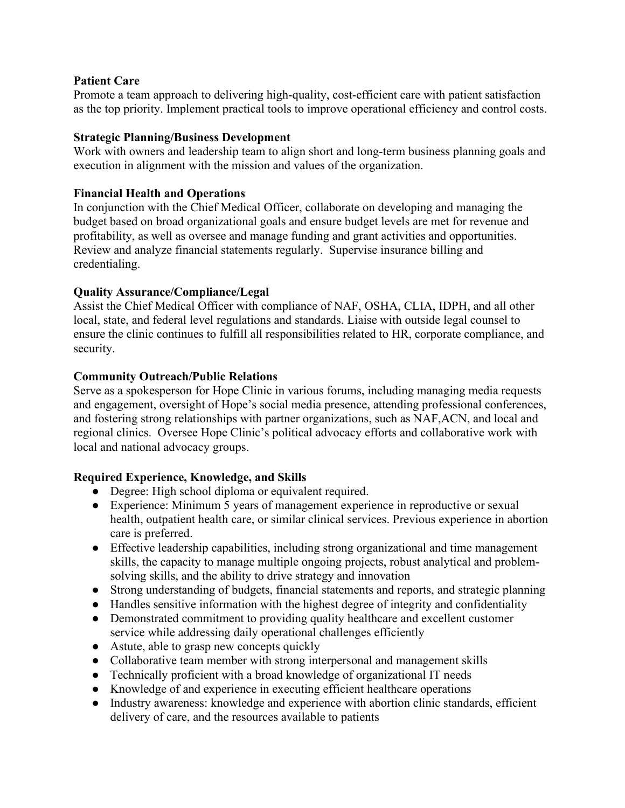# **Patient Care**

Promote a team approach to delivering high-quality, cost-efficient care with patient satisfaction as the top priority. Implement practical tools to improve operational efficiency and control costs.

## **Strategic Planning/Business Development**

Work with owners and leadership team to align short and long-term business planning goals and execution in alignment with the mission and values of the organization.

## **Financial Health and Operations**

In conjunction with the Chief Medical Officer, collaborate on developing and managing the budget based on broad organizational goals and ensure budget levels are met for revenue and profitability, as well as oversee and manage funding and grant activities and opportunities. Review and analyze financial statements regularly. Supervise insurance billing and credentialing.

#### **Quality Assurance/Compliance/Legal**

Assist the Chief Medical Officer with compliance of NAF, OSHA, CLIA, IDPH, and all other local, state, and federal level regulations and standards. Liaise with outside legal counsel to ensure the clinic continues to fulfill all responsibilities related to HR, corporate compliance, and security.

#### **Community Outreach/Public Relations**

Serve as a spokesperson for Hope Clinic in various forums, including managing media requests and engagement, oversight of Hope's social media presence, attending professional conferences, and fostering strong relationships with partner organizations, such as NAF,ACN, and local and regional clinics. Oversee Hope Clinic's political advocacy efforts and collaborative work with local and national advocacy groups.

# **Required Experience, Knowledge, and Skills**

- Degree: High school diploma or equivalent required.
- Experience: Minimum 5 years of management experience in reproductive or sexual health, outpatient health care, or similar clinical services. Previous experience in abortion care is preferred.
- Effective leadership capabilities, including strong organizational and time management skills, the capacity to manage multiple ongoing projects, robust analytical and problemsolving skills, and the ability to drive strategy and innovation
- Strong understanding of budgets, financial statements and reports, and strategic planning
- Handles sensitive information with the highest degree of integrity and confidentiality
- Demonstrated commitment to providing quality healthcare and excellent customer service while addressing daily operational challenges efficiently
- Astute, able to grasp new concepts quickly
- Collaborative team member with strong interpersonal and management skills
- Technically proficient with a broad knowledge of organizational IT needs
- Knowledge of and experience in executing efficient healthcare operations
- Industry awareness: knowledge and experience with abortion clinic standards, efficient delivery of care, and the resources available to patients